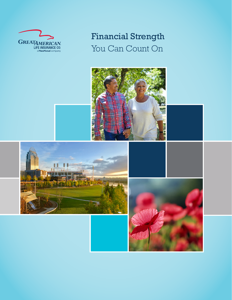

# Financial Strength You Can Count On

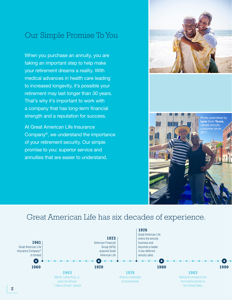## Our Simple Promise To You

When you purchase an annuity, you are taking an important step to help make your retirement dreams a reality. With medical advances in health care leading to increased longevity, it's possible your retirement may last longer than 30 years. That's why it's important to work with a company that has long-term financial strength and a reputation for success.

At Great American Life Insurance Company®, we understand the importance of your retirement security. Our simple promise to you: superior service and annuities that are easier to understand.





### Great American Life has six decades of experience.

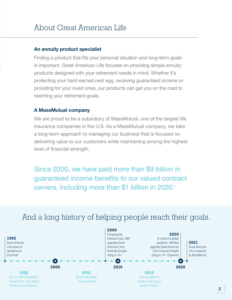#### An annuity product specialist

Finding a product that fits your personal situation and long-term goals is important. Great American Life focuses on providing simple annuity products designed with your retirement needs in mind. Whether it's protecting your hard-earned nest egg, receiving guaranteed income or providing for your loved ones, our products can get you on the road to reaching your retirement goals.

#### A MassMutual company

We are proud to be a subsidiary of MassMutual, one of the largest life insurance companies in the U.S. As a MassMutual company, we take a long-term approach to managing our business that is focused on delivering value to our customers while maintaining among the highest level of financial strength.

Since 2000, we have paid more than \$9 billion in guaranteed income benefits to our valued contract owners, including more than \$1 billion in 2020.<sup>1</sup>



### And a long history of helping people reach their goals.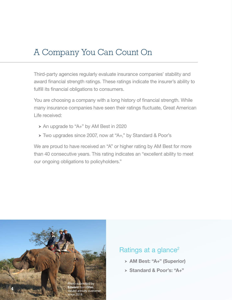## A Company You Can Count On

Third-party agencies regularly evaluate insurance companies' stability and award financial strength ratings. These ratings indicate the insurer's ability to fulfill its financial obligations to consumers.

You are choosing a company with a long history of financial strength. While many insurance companies have seen their ratings fluctuate, Great American Life received:

- $\rightarrow$  An upgrade to "A+" by AM Best in 2020
- ▶ Two upgrades since 2007, now at "A+," by Standard & Poor's

We are proud to have received an "A" or higher rating by AM Best for more than 40 consecutive years. This rating indicates an "excellent ability to meet our ongoing obligations to policyholders."



### Ratings at a glance<sup>2</sup>

- > AM Best: "A+" (Superior)
- > Standard & Poor's: "A+"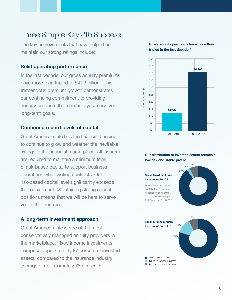### Three Simple Keys To Success

The key achievements that have helped us maintain our strong ratings include:

#### Solid operating performance

In the last decade, our gross annuity premiums have more than tripled to \$41.2 billion.<sup>3</sup> This tremendous premium growth demonstrates our continuing commitment to providing annuity products that can help you reach your long-term goals.

#### Continued record levels of capital

Great American Life has the financial backing to continue to grow and weather the inevitable swings in the financial marketplace. All insurers are required to maintain a minimum level of risk-based capital to support business operations while writing contracts. Our risk-based capital level significantly exceeds the requirement. Maintaining strong capital positions means that we will be here to serve you in the long run.

#### A long-term investment approach

Great American Life is one of the most conservatively managed annuity providers in the marketplace. Fixed income investments comprise approximately 87 percent of invested assets, compared to the insurance industry average of approximately 78 percent.<sup>6</sup>





#### Our distribution of invested assets creates a low risk and stable profile

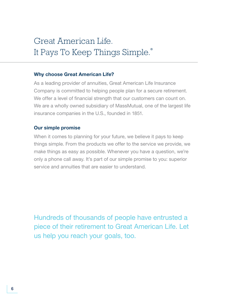# Great American Life. It Pays To Keep Things Simple.®

#### Why choose Great American Life?

As a leading provider of annuities, Great American Life Insurance Company is committed to helping people plan for a secure retirement. We offer a level of financial strength that our customers can count on. We are a wholly owned subsidiary of MassMutual, one of the largest life insurance companies in the U.S., founded in 1851.

#### Our simple promise

When it comes to planning for your future, we believe it pays to keep things simple. From the products we offer to the service we provide, we make things as easy as possible. Whenever you have a question, we're only a phone call away. It's part of our simple promise to you: superior service and annuities that are easier to understand.

Hundreds of thousands of people have entrusted a piece of their retirement to Great American Life. Let us help you reach your goals, too.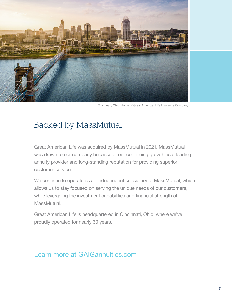

Cincinnati, Ohio: Home of Great American Life Insurance Company

# Backed by MassMutual

Great American Life was acquired by MassMutual in 2021. MassMutual was drawn to our company because of our continuing growth as a leading annuity provider and long-standing reputation for providing superior customer service.

We continue to operate as an independent subsidiary of MassMutual, which allows us to stay focused on serving the unique needs of our customers, while leveraging the investment capabilities and financial strength of MassMutual.

Great American Life is headquartered in Cincinnati, Ohio, where we've proudly operated for nearly 30 years.

### Learn more at GAIGannuities.com